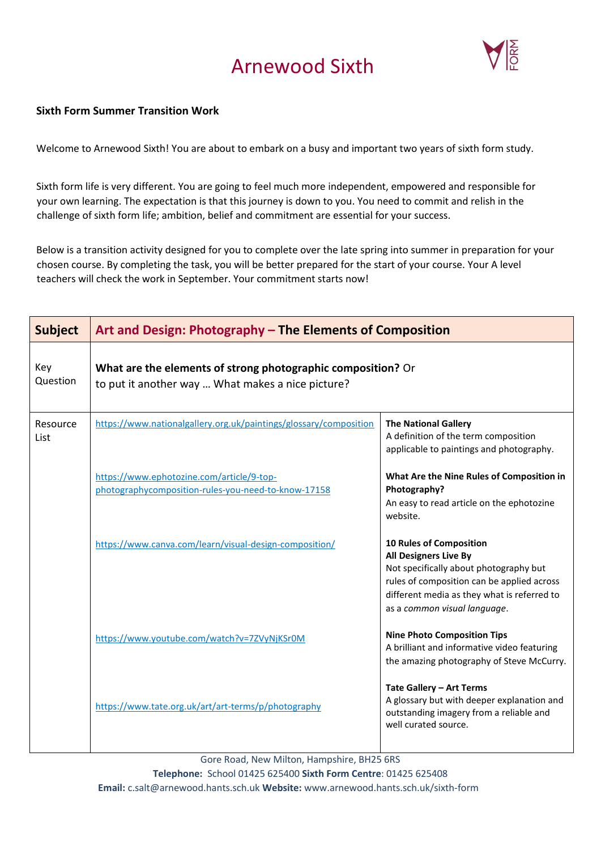## Arnewood Sixth



## **Sixth Form Summer Transition Work**

Welcome to Arnewood Sixth! You are about to embark on a busy and important two years of sixth form study.

Sixth form life is very different. You are going to feel much more independent, empowered and responsible for your own learning. The expectation is that this journey is down to you. You need to commit and relish in the challenge of sixth form life; ambition, belief and commitment are essential for your success.

Below is a transition activity designed for you to complete over the late spring into summer in preparation for your chosen course. By completing the task, you will be better prepared for the start of your course. Your A level teachers will check the work in September. Your commitment starts now!

| <b>Subject</b>   | Art and Design: Photography - The Elements of Composition                                                         |                                                                                                                                                                                                                                       |
|------------------|-------------------------------------------------------------------------------------------------------------------|---------------------------------------------------------------------------------------------------------------------------------------------------------------------------------------------------------------------------------------|
| Key<br>Question  | What are the elements of strong photographic composition? Or<br>to put it another way  What makes a nice picture? |                                                                                                                                                                                                                                       |
| Resource<br>List | https://www.nationalgallery.org.uk/paintings/glossary/composition                                                 | <b>The National Gallery</b><br>A definition of the term composition<br>applicable to paintings and photography.                                                                                                                       |
|                  | https://www.ephotozine.com/article/9-top-<br>photographycomposition-rules-you-need-to-know-17158                  | What Are the Nine Rules of Composition in<br>Photography?<br>An easy to read article on the ephotozine<br>website.                                                                                                                    |
|                  | https://www.canva.com/learn/visual-design-composition/                                                            | <b>10 Rules of Composition</b><br><b>All Designers Live By</b><br>Not specifically about photography but<br>rules of composition can be applied across<br>different media as they what is referred to<br>as a common visual language. |
|                  | https://www.youtube.com/watch?v=7ZVyNjKSr0M                                                                       | <b>Nine Photo Composition Tips</b><br>A brilliant and informative video featuring<br>the amazing photography of Steve McCurry.                                                                                                        |
|                  | https://www.tate.org.uk/art/art-terms/p/photography                                                               | Tate Gallery - Art Terms<br>A glossary but with deeper explanation and<br>outstanding imagery from a reliable and<br>well curated source.                                                                                             |

Gore Road, New Milton, Hampshire, BH25 6RS